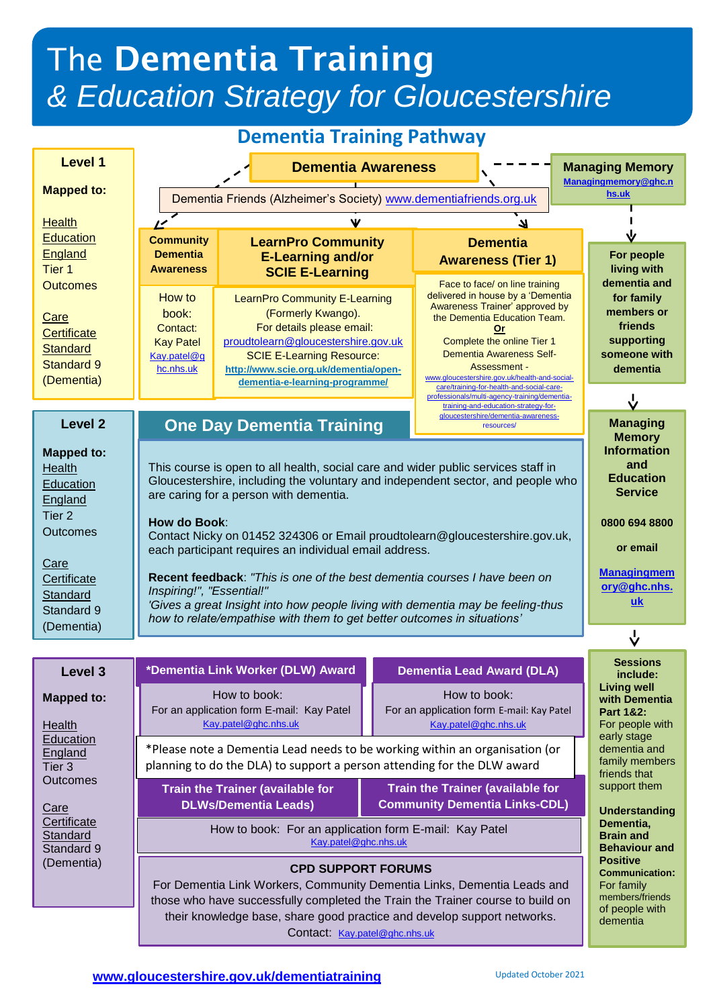# The **Dementia Training**  *& Education Strategy for Gloucestershire*

| <b>Dementia Training Pathway</b>                                                        |                                                                                                                                                                                                                                                                                                                         |                                                                                                                                                                                                                                        |  |                                                                                                                                                                                                                                                                                                                                                                                   |                                                                                       |              |                                                                                                                                 |  |  |
|-----------------------------------------------------------------------------------------|-------------------------------------------------------------------------------------------------------------------------------------------------------------------------------------------------------------------------------------------------------------------------------------------------------------------------|----------------------------------------------------------------------------------------------------------------------------------------------------------------------------------------------------------------------------------------|--|-----------------------------------------------------------------------------------------------------------------------------------------------------------------------------------------------------------------------------------------------------------------------------------------------------------------------------------------------------------------------------------|---------------------------------------------------------------------------------------|--------------|---------------------------------------------------------------------------------------------------------------------------------|--|--|
| <b>Level 1</b>                                                                          | <b>Dementia Awareness</b>                                                                                                                                                                                                                                                                                               |                                                                                                                                                                                                                                        |  |                                                                                                                                                                                                                                                                                                                                                                                   |                                                                                       |              | <b>Managing Memory</b><br>Managingmemory@ghc.n                                                                                  |  |  |
| <b>Mapped to:</b>                                                                       | Dementia Friends (Alzheimer's Society) www.dementiafriends.org.uk                                                                                                                                                                                                                                                       |                                                                                                                                                                                                                                        |  |                                                                                                                                                                                                                                                                                                                                                                                   |                                                                                       |              | hs.uk                                                                                                                           |  |  |
| Health                                                                                  | 11                                                                                                                                                                                                                                                                                                                      | Ψ<br>71                                                                                                                                                                                                                                |  |                                                                                                                                                                                                                                                                                                                                                                                   |                                                                                       |              |                                                                                                                                 |  |  |
| <b>Education</b><br>England<br>Tier <sub>1</sub><br><b>Outcomes</b>                     | <b>Community</b><br><b>Dementia</b><br><b>Awareness</b>                                                                                                                                                                                                                                                                 | <b>LearnPro Community</b><br><b>E-Learning and/or</b><br><b>SCIE E-Learning</b>                                                                                                                                                        |  | <b>Dementia</b><br><b>Awareness (Tier 1)</b><br>Face to face/ on line training<br>delivered in house by a 'Dementia<br>Awareness Trainer' approved by<br>the Dementia Education Team.<br><b>Or</b><br>Complete the online Tier 1<br>Dementia Awareness Self-<br><b>Assessment -</b><br>www.gloucestershire.gov.uk/health-and-social-<br>care/training-for-health-and-social-care- |                                                                                       |              | V<br>For people<br>living with<br>dementia and<br>for family<br>members or<br>friends<br>supporting<br>someone with<br>dementia |  |  |
| <u>Care</u><br><b>Certificate</b><br><b>Standard</b><br><b>Standard 9</b><br>(Dementia) | How to<br>book:<br>Contact:<br><b>Kay Patel</b><br>Kay.patel@g<br>hc.nhs.uk                                                                                                                                                                                                                                             | LearnPro Community E-Learning<br>(Formerly Kwango).<br>For details please email:<br>proudtolearn@gloucestershire.gov.uk<br><b>SCIE E-Learning Resource:</b><br>http://www.scie.org.uk/dementia/open-<br>dementia-e-learning-programme/ |  |                                                                                                                                                                                                                                                                                                                                                                                   |                                                                                       |              |                                                                                                                                 |  |  |
|                                                                                         |                                                                                                                                                                                                                                                                                                                         |                                                                                                                                                                                                                                        |  |                                                                                                                                                                                                                                                                                                                                                                                   | professionals/multi-agency-training/dementia-<br>training-and-education-strategy-for- |              | ↓                                                                                                                               |  |  |
| Level <sub>2</sub>                                                                      | gloucestershire/dementia-awareness-<br><b>One Day Dementia Training</b><br><b>Managing</b><br>resources/<br><b>Memory</b><br><b>Information</b>                                                                                                                                                                         |                                                                                                                                                                                                                                        |  |                                                                                                                                                                                                                                                                                                                                                                                   |                                                                                       |              |                                                                                                                                 |  |  |
| <b>Mapped to:</b><br>Health<br>Education<br>England                                     | This course is open to all health, social care and wider public services staff in<br>Gloucestershire, including the voluntary and independent sector, and people who<br>are caring for a person with dementia.                                                                                                          |                                                                                                                                                                                                                                        |  |                                                                                                                                                                                                                                                                                                                                                                                   |                                                                                       |              | and<br><b>Education</b><br><b>Service</b>                                                                                       |  |  |
| Tier 2<br>Outcomes                                                                      | How do Book:<br>Contact Nicky on 01452 324306 or Email proudtolearn@gloucestershire.gov.uk,<br>each participant requires an individual email address.                                                                                                                                                                   |                                                                                                                                                                                                                                        |  |                                                                                                                                                                                                                                                                                                                                                                                   |                                                                                       |              | 0800 694 8800<br>or email                                                                                                       |  |  |
| <u>Care</u><br>Certificate<br>Standard<br>Standard 9<br>(Dementia)                      | <b>Managingmem</b><br>Recent feedback: "This is one of the best dementia courses I have been on<br>ory@ghc.nhs.<br>Inspiring!", "Essential!"<br><u>uk</u><br>'Gives a great Insight into how people living with dementia may be feeling-thus<br>how to relate/empathise with them to get better outcomes in situations' |                                                                                                                                                                                                                                        |  |                                                                                                                                                                                                                                                                                                                                                                                   |                                                                                       |              |                                                                                                                                 |  |  |
|                                                                                         |                                                                                                                                                                                                                                                                                                                         |                                                                                                                                                                                                                                        |  |                                                                                                                                                                                                                                                                                                                                                                                   |                                                                                       |              | ↓                                                                                                                               |  |  |
| Level 3                                                                                 |                                                                                                                                                                                                                                                                                                                         | *Dementia Link Worker (DLW) Award                                                                                                                                                                                                      |  |                                                                                                                                                                                                                                                                                                                                                                                   | <b>Dementia Lead Award (DLA)</b>                                                      |              | <b>Sessions</b><br>include:                                                                                                     |  |  |
| <b>Mapped to:</b><br>Health<br>Education                                                |                                                                                                                                                                                                                                                                                                                         | How to book:<br>For an application form E-mail: Kay Patel<br>Kay.patel@ghc.nhs.uk                                                                                                                                                      |  |                                                                                                                                                                                                                                                                                                                                                                                   | How to book:<br>For an application form E-mail: Kay Patel<br>Kay.patel@ghc.nhs.uk     |              | <b>Living well</b><br>with Dementia<br><b>Part 1&amp;2:</b><br>For people with<br>early stage                                   |  |  |
| England                                                                                 | *Please note a Dementia Lead needs to be working within an organisation (or                                                                                                                                                                                                                                             |                                                                                                                                                                                                                                        |  |                                                                                                                                                                                                                                                                                                                                                                                   |                                                                                       | dementia and |                                                                                                                                 |  |  |

England Tier 3 **Outcomes** 

Care **Certificate Standard** Standard 9 (Dementia)

\*Please note a Dementia Lead needs to be working within an organisation (or planning to do the DLA) to support a person attending for the DLW award

**Train the Trainer (available for DLWs/Dementia Leads)**

**Train the Trainer (available for Community Dementia Links-CDL)**

How to book: For an application form E-mail: Kay Patel [Kay.patel@ghc.nhs.u](mailto:Kay.patel@ghc.nhs.)k

#### **CPD SUPPORT FORUMS**

For Dementia Link Workers, Community Dementia Links, Dementia Leads and those who have successfully completed the Train the Trainer course to build on their knowledge base, sha[re good practice and](mailto:a.rawlins@nhs.net) develop support networks. Contact: [Kay.patel@ghc.nhs.u](mailto:Kay.patel@ghc.nhs.)k

family members friends that support them

**Understanding Dementia, Brain and Behaviour and Positive Communication:** For family members/friends of people with dementia